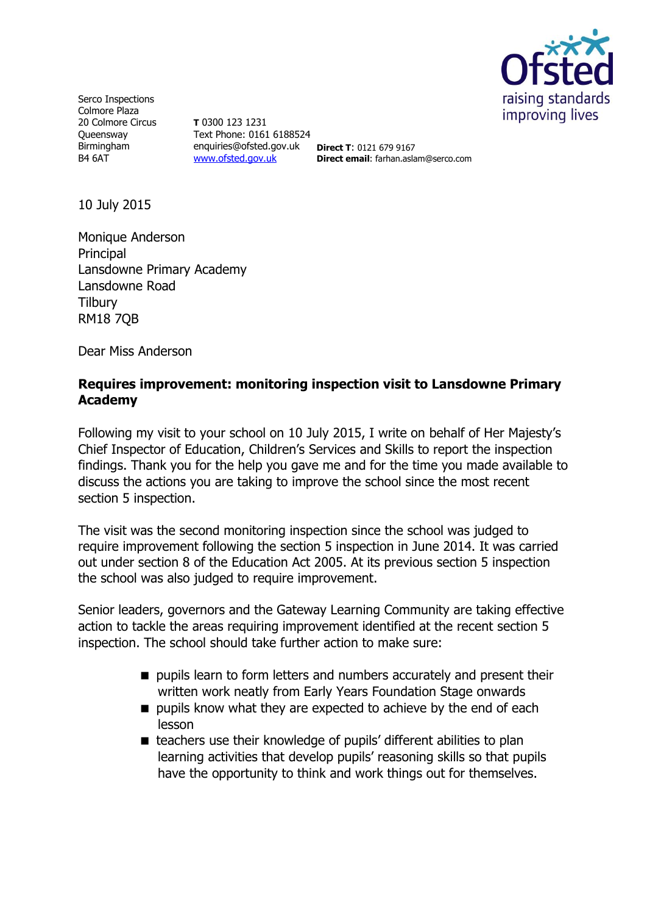

Serco Inspections Colmore Plaza 20 Colmore Circus **Queensway** Birmingham B4 6AT

**T** 0300 123 1231 Text Phone: 0161 6188524 enquiries@ofsted.gov.uk **Direct T**: 0121 679 9167 [www.ofsted.gov.uk](http://www.ofsted.gov.uk/)

**Direct email**: farhan.aslam@serco.com

10 July 2015

Monique Anderson Principal Lansdowne Primary Academy Lansdowne Road **Tilbury** RM18 7QB

Dear Miss Anderson

# **Requires improvement: monitoring inspection visit to Lansdowne Primary Academy**

Following my visit to your school on 10 July 2015, I write on behalf of Her Majesty's Chief Inspector of Education, Children's Services and Skills to report the inspection findings. Thank you for the help you gave me and for the time you made available to discuss the actions you are taking to improve the school since the most recent section 5 inspection.

The visit was the second monitoring inspection since the school was judged to require improvement following the section 5 inspection in June 2014. It was carried out under section 8 of the Education Act 2005. At its previous section 5 inspection the school was also judged to require improvement.

Senior leaders, governors and the Gateway Learning Community are taking effective action to tackle the areas requiring improvement identified at the recent section 5 inspection. The school should take further action to make sure:

- pupils learn to form letters and numbers accurately and present their written work neatly from Early Years Foundation Stage onwards
- **pupils know what they are expected to achieve by the end of each** lesson
- teachers use their knowledge of pupils' different abilities to plan learning activities that develop pupils' reasoning skills so that pupils have the opportunity to think and work things out for themselves.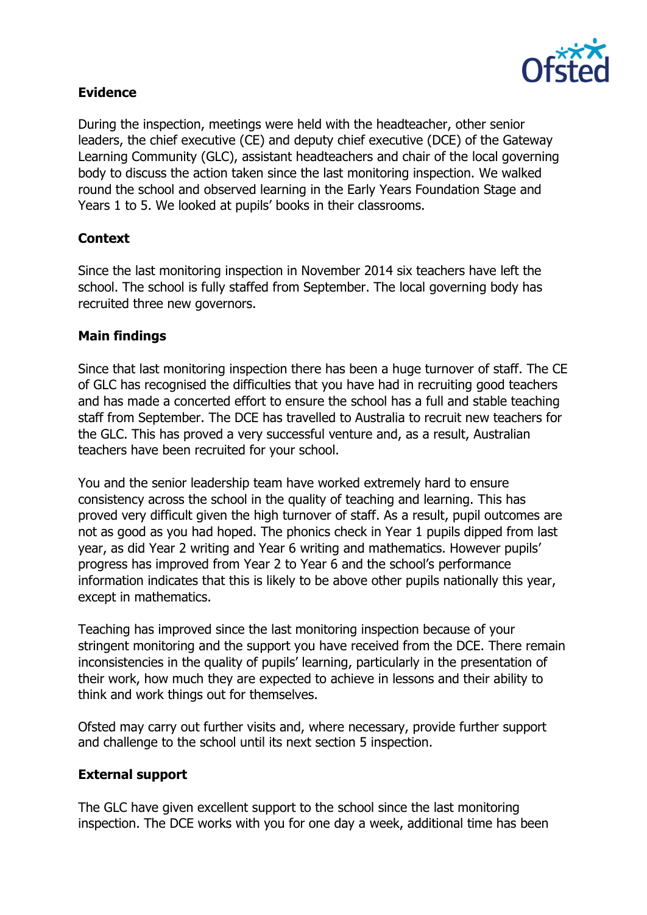

# **Evidence**

During the inspection, meetings were held with the headteacher, other senior leaders, the chief executive (CE) and deputy chief executive (DCE) of the Gateway Learning Community (GLC), assistant headteachers and chair of the local governing body to discuss the action taken since the last monitoring inspection. We walked round the school and observed learning in the Early Years Foundation Stage and Years 1 to 5. We looked at pupils' books in their classrooms.

# **Context**

Since the last monitoring inspection in November 2014 six teachers have left the school. The school is fully staffed from September. The local governing body has recruited three new governors.

### **Main findings**

Since that last monitoring inspection there has been a huge turnover of staff. The CE of GLC has recognised the difficulties that you have had in recruiting good teachers and has made a concerted effort to ensure the school has a full and stable teaching staff from September. The DCE has travelled to Australia to recruit new teachers for the GLC. This has proved a very successful venture and, as a result, Australian teachers have been recruited for your school.

You and the senior leadership team have worked extremely hard to ensure consistency across the school in the quality of teaching and learning. This has proved very difficult given the high turnover of staff. As a result, pupil outcomes are not as good as you had hoped. The phonics check in Year 1 pupils dipped from last year, as did Year 2 writing and Year 6 writing and mathematics. However pupils' progress has improved from Year 2 to Year 6 and the school's performance information indicates that this is likely to be above other pupils nationally this year, except in mathematics.

Teaching has improved since the last monitoring inspection because of your stringent monitoring and the support you have received from the DCE. There remain inconsistencies in the quality of pupils' learning, particularly in the presentation of their work, how much they are expected to achieve in lessons and their ability to think and work things out for themselves.

Ofsted may carry out further visits and, where necessary, provide further support and challenge to the school until its next section 5 inspection.

### **External support**

The GLC have given excellent support to the school since the last monitoring inspection. The DCE works with you for one day a week, additional time has been